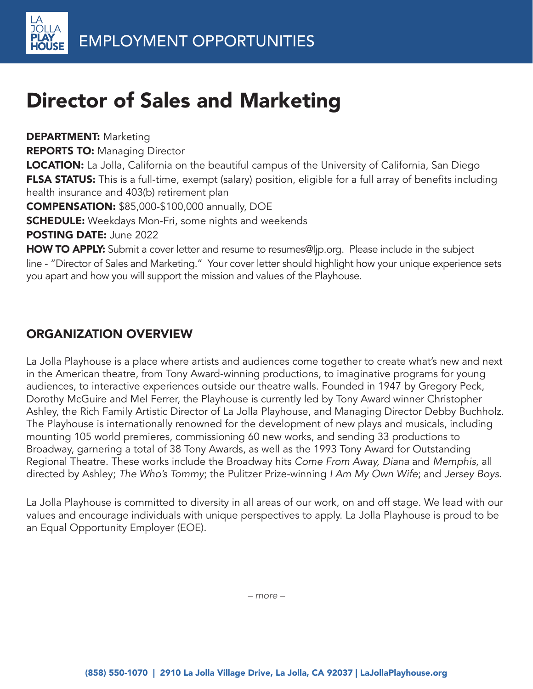# Director of Sales and Marketing

**DEPARTMENT: Marketing** 

**REPORTS TO: Managing Director** 

**LOCATION:** La Jolla, California on the beautiful campus of the University of California, San Diego FLSA STATUS: This is a full-time, exempt (salary) position, eligible for a full array of benefits including health insurance and 403(b) retirement plan

COMPENSATION: \$85,000-\$100,000 annually, DOE

**SCHEDULE:** Weekdays Mon-Fri, some nights and weekends

POSTING DATE: June 2022

HOW TO APPLY: Submit a cover letter and resume to resumes@ljp.org. Please include in the subject line - "Director of Sales and Marketing." Your cover letter should highlight how your unique experience sets you apart and how you will support the mission and values of the Playhouse.

#### ORGANIZATION OVERVIEW

La Jolla Playhouse is a place where artists and audiences come together to create what's new and next in the American theatre, from Tony Award-winning productions, to imaginative programs for young audiences, to interactive experiences outside our theatre walls. Founded in 1947 by Gregory Peck, Dorothy McGuire and Mel Ferrer, the Playhouse is currently led by Tony Award winner Christopher Ashley, the Rich Family Artistic Director of La Jolla Playhouse, and Managing Director Debby Buchholz. The Playhouse is internationally renowned for the development of new plays and musicals, including mounting 105 world premieres, commissioning 60 new works, and sending 33 productions to Broadway, garnering a total of 38 Tony Awards, as well as the 1993 Tony Award for Outstanding Regional Theatre. These works include the Broadway hits Come From Away, Diana and Memphis, all directed by Ashley; The Who's Tommy; the Pulitzer Prize-winning I Am My Own Wife; and Jersey Boys.

La Jolla Playhouse is committed to diversity in all areas of our work, on and off stage. We lead with our values and encourage individuals with unique perspectives to apply. La Jolla Playhouse is proud to be an Equal Opportunity Employer (EOE).

*– more –*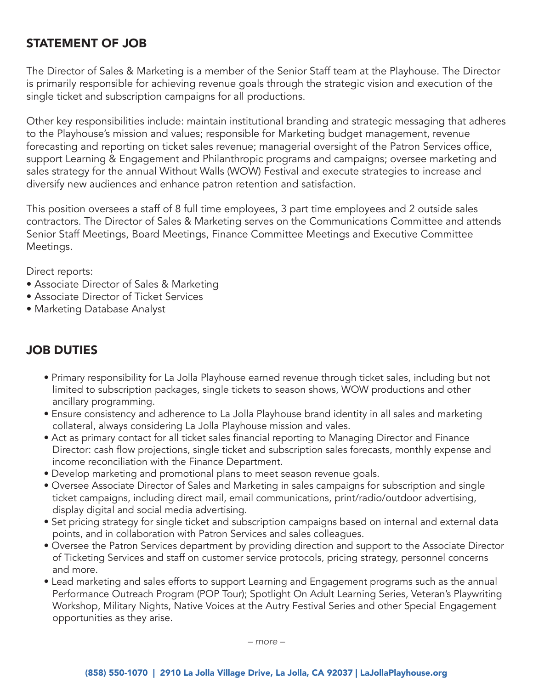#### STATEMENT OF JOB

The Director of Sales & Marketing is a member of the Senior Staff team at the Playhouse. The Director is primarily responsible for achieving revenue goals through the strategic vision and execution of the single ticket and subscription campaigns for all productions.

Other key responsibilities include: maintain institutional branding and strategic messaging that adheres to the Playhouse's mission and values; responsible for Marketing budget management, revenue forecasting and reporting on ticket sales revenue; managerial oversight of the Patron Services office, support Learning & Engagement and Philanthropic programs and campaigns; oversee marketing and sales strategy for the annual Without Walls (WOW) Festival and execute strategies to increase and diversify new audiences and enhance patron retention and satisfaction.

This position oversees a staff of 8 full time employees, 3 part time employees and 2 outside sales contractors. The Director of Sales & Marketing serves on the Communications Committee and attends Senior Staff Meetings, Board Meetings, Finance Committee Meetings and Executive Committee Meetings.

Direct reports:

- Associate Director of Sales & Marketing
- Associate Director of Ticket Services
- Marketing Database Analyst

### JOB DUTIES

- Primary responsibility for La Jolla Playhouse earned revenue through ticket sales, including but not limited to subscription packages, single tickets to season shows, WOW productions and other ancillary programming.
- Ensure consistency and adherence to La Jolla Playhouse brand identity in all sales and marketing collateral, always considering La Jolla Playhouse mission and vales.
- Act as primary contact for all ticket sales financial reporting to Managing Director and Finance Director: cash flow projections, single ticket and subscription sales forecasts, monthly expense and income reconciliation with the Finance Department.
- Develop marketing and promotional plans to meet season revenue goals.
- Oversee Associate Director of Sales and Marketing in sales campaigns for subscription and single ticket campaigns, including direct mail, email communications, print/radio/outdoor advertising, display digital and social media advertising.
- Set pricing strategy for single ticket and subscription campaigns based on internal and external data points, and in collaboration with Patron Services and sales colleagues.
- Oversee the Patron Services department by providing direction and support to the Associate Director of Ticketing Services and staff on customer service protocols, pricing strategy, personnel concerns and more.
- Lead marketing and sales efforts to support Learning and Engagement programs such as the annual Performance Outreach Program (POP Tour); Spotlight On Adult Learning Series, Veteran's Playwriting Workshop, Military Nights, Native Voices at the Autry Festival Series and other Special Engagement opportunities as they arise.

*– more –*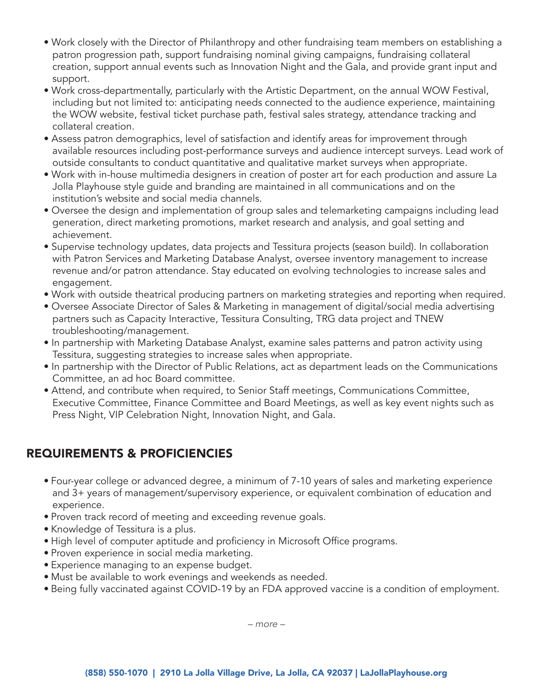- Work closely with the Director of Philanthropy and other fundraising team members on establishing a patron progression path, support fundraising nominal giving campaigns, fundraising collateral creation, support annual events such as Innovation Night and the Gala, and provide grant input and support.
- Work cross-departmentally, particularly with the Artistic Department, on the annual WOW Festival, including but not limited to: anticipating needs connected to the audience experience, maintaining the WOW website, festival ticket purchase path, festival sales strategy, attendance tracking and collateral creation.
- Assess patron demographics, level of satisfaction and identify areas for improvement through available resources including post-performance surveys and audience intercept surveys. Lead work of outside consultants to conduct quantitative and qualitative market surveys when appropriate.
- Work with in-house multimedia designers in creation of poster art for each production and assure La Jolla Playhouse style guide and branding are maintained in all communications and on the institution's website and social media channels.
- Oversee the design and implementation of group sales and telemarketing campaigns including lead generation, direct marketing promotions, market research and analysis, and goal setting and achievement.
- Supervise technology updates, data projects and Tessitura projects (season build). In collaboration with Patron Services and Marketing Database Analyst, oversee inventory management to increase revenue and/or patron attendance. Stay educated on evolving technologies to increase sales and engagement.
- Work with outside theatrical producing partners on marketing strategies and reporting when required.
- Oversee Associate Director of Sales & Marketing in management of digital/social media advertising partners such as Capacity Interactive, Tessitura Consulting, TRG data project and TNEW troubleshooting/management.
- In partnership with Marketing Database Analyst, examine sales patterns and patron activity using Tessitura, suggesting strategies to increase sales when appropriate.
- In partnership with the Director of Public Relations, act as department leads on the Communications Committee, an ad hoc Board committee.
- Attend, and contribute when required, to Senior Staff meetings, Communications Committee, Executive Committee, Finance Committee and Board Meetings, as well as key event nights such as Press Night, VIP Celebration Night, Innovation Night, and Gala.

## REQUIREMENTS & PROFICIENCIES

- Four-year college or advanced degree, a minimum of 7-10 years of sales and marketing experience and 3+ years of management/supervisory experience, or equivalent combination of education and experience.
- Proven track record of meeting and exceeding revenue goals.
- Knowledge of Tessitura is a plus.
- High level of computer aptitude and proficiency in Microsoft Office programs.
- Proven experience in social media marketing.
- Experience managing to an expense budget.
- Must be available to work evenings and weekends as needed.
- Being fully vaccinated against COVID-19 by an FDA approved vaccine is a condition of employment.

*– more –*